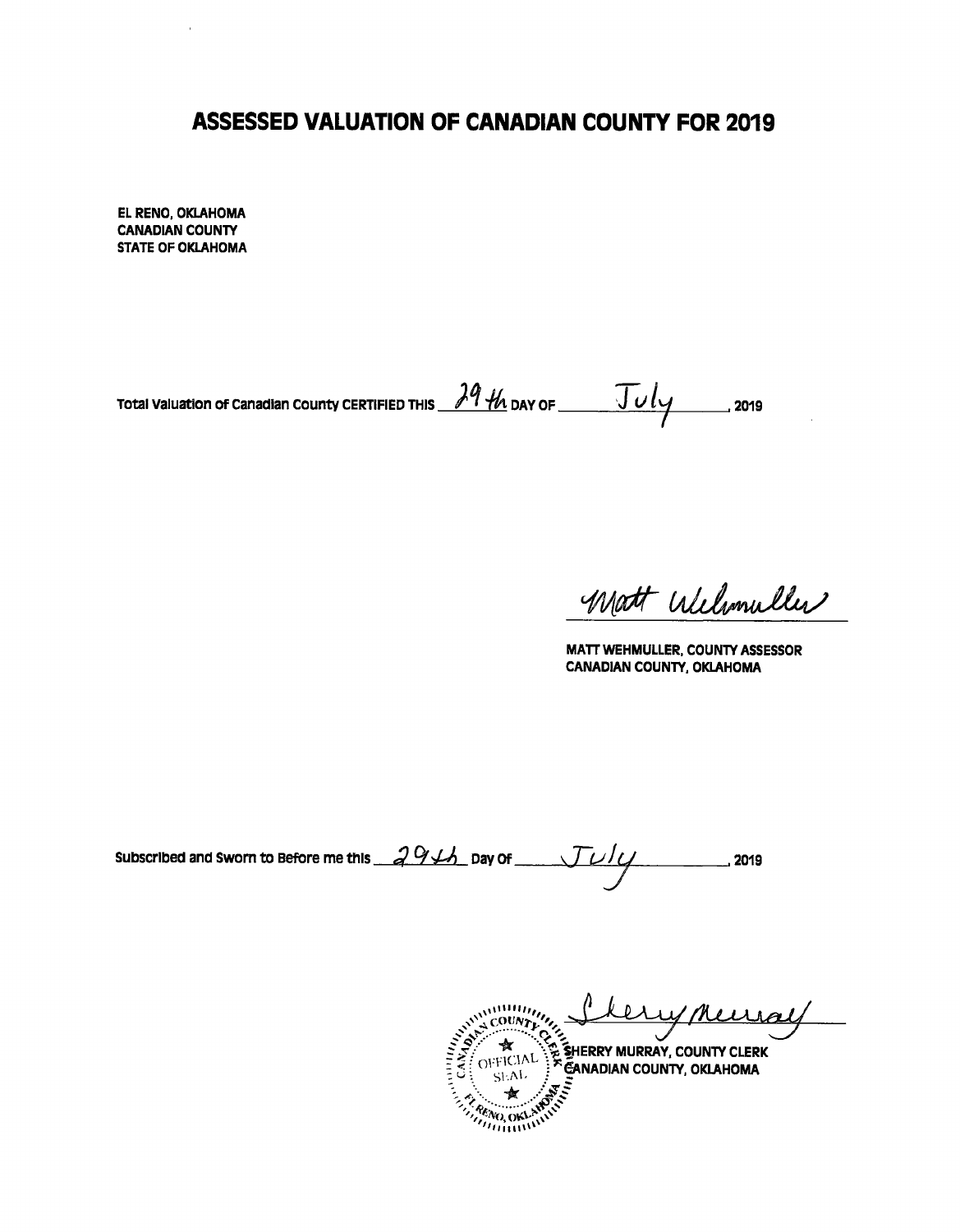## **ASSESSED VALUATION OF CANADIAN COUNTY FOR 2019**

EL RENO, OKLAHOMA **CANADIAN COUNTY STATE OF OKLAHOMA** 

ï

Total Valuation of Canadian County CERTIFIED THIS  $\frac{\lambda 9 + h}{\lambda}$  DAY OF  $\frac{\sqrt{U}}{\sqrt{2}}$  2019

Matt Willmuller

MATT WEHMULLER, COUNTY ASSESSOR **CANADIAN COUNTY, OKLAHOMA** 

Subscribed and Sworn to Before me this  $29/4$  pay of \_ 2019

COUNTY OF SHERRY MURRAY, COUNTY CLERK ral **PENO, OKLE CORENO, OKEN**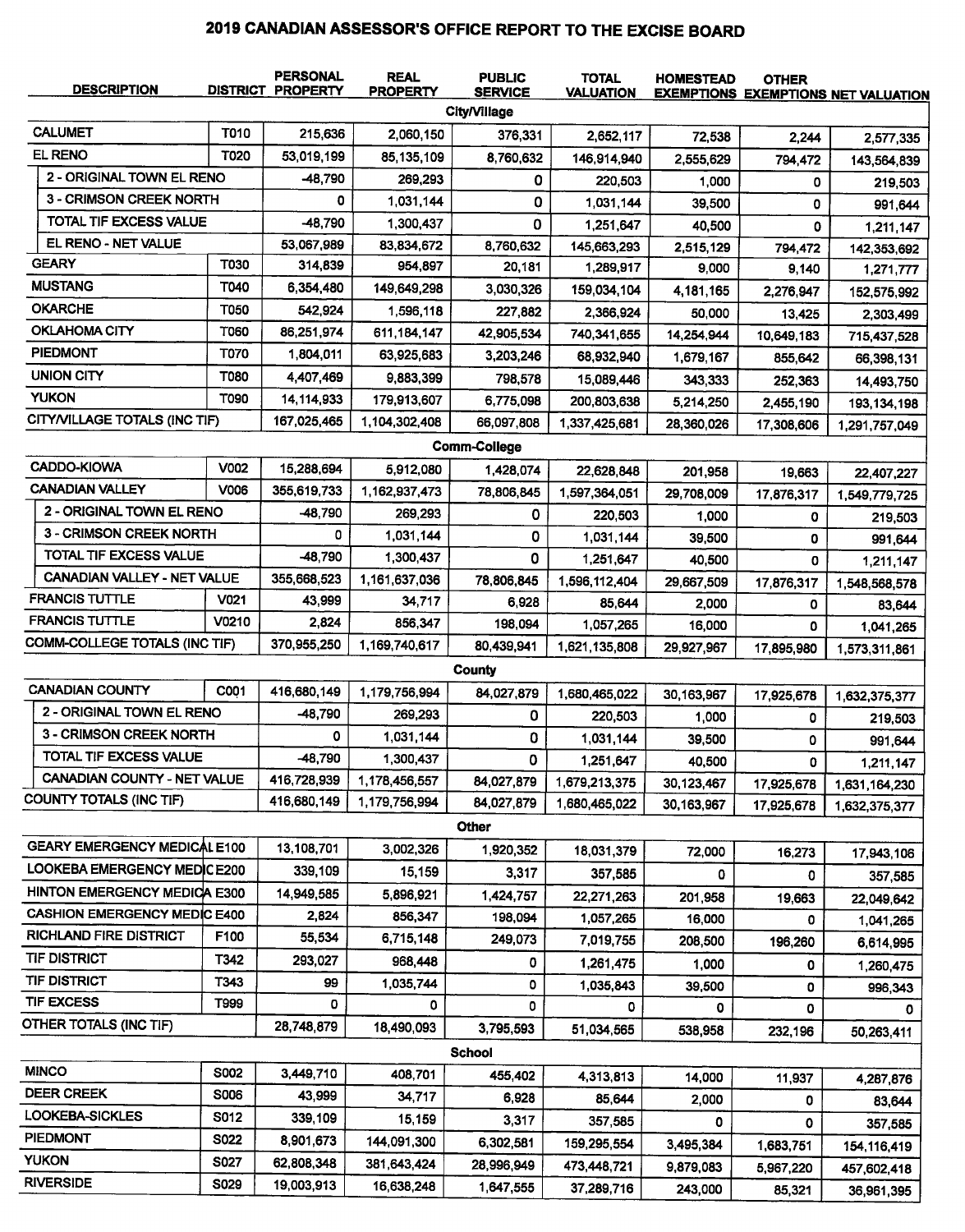## 2019 CANADIAN ASSESSOR'S OFFICE REPORT TO THE EXCISE BOARD

| <b>DESCRIPTION</b>                   |             | <b>PERSONAL</b><br><b>DISTRICT PROPERTY</b> | <b>REAL</b><br><b>PROPERTY</b> | <b>PUBLIC</b><br><b>SERVICE</b> | <b>TOTAL</b><br><b>VALUATION</b> | <b>HOMESTEAD</b> | <b>OTHER</b> | <b>EXEMPTIONS EXEMPTIONS NET VALUATION</b> |
|--------------------------------------|-------------|---------------------------------------------|--------------------------------|---------------------------------|----------------------------------|------------------|--------------|--------------------------------------------|
|                                      |             |                                             |                                | <b>City/Village</b>             |                                  |                  |              |                                            |
| <b>CALUMET</b>                       | <b>T010</b> | 215,636                                     | 2,060,150                      | 376,331                         | 2,652,117                        | 72,538           | 2,244        | 2,577,335                                  |
| <b>EL RENO</b>                       | T020        | 53,019,199                                  | 85,135,109                     | 8,760,632                       | 146,914,940                      | 2,555,629        | 794,472      | 143,564,839                                |
| 2 - ORIGINAL TOWN EL RENO            |             | -48,790                                     | 269,293                        | 0                               | 220,503                          | 1,000            | 0            | 219,503                                    |
| <b>3 - CRIMSON CREEK NORTH</b>       |             | 0                                           | 1,031,144                      | 0                               | 1,031,144                        | 39,500           | 0            | 991,644                                    |
| TOTAL TIF EXCESS VALUE               |             | -48,790                                     | 1,300,437                      | 0                               | 1,251,647                        | 40,500           | 0            | 1,211,147                                  |
| EL RENO - NET VALUE                  |             | 53,067,989                                  | 83,834,672                     | 8,760,632                       | 145,663,293                      | 2,515,129        | 794,472      | 142,353,692                                |
| <b>GEARY</b>                         | <b>T030</b> | 314,839                                     | 954,897                        | 20,181                          | 1,289,917                        | 9,000            | 9,140        | 1,271,777                                  |
| <b>MUSTANG</b>                       | T040        | 6,354,480                                   | 149,649,298                    | 3,030,326                       | 159,034,104                      | 4,181,165        | 2,276,947    | 152,575,992                                |
| <b>OKARCHE</b>                       | <b>T050</b> | 542,924                                     | 1.596,118                      | 227,882                         | 2,366,924                        | 50,000           | 13,425       | 2,303,499                                  |
| <b>OKLAHOMA CITY</b>                 | <b>T060</b> | 86,251,974                                  | 611, 184, 147                  | 42,905,534                      | 740,341,655                      | 14,254,944       | 10,649,183   | 715,437,528                                |
| <b>PIEDMONT</b>                      | T070        | 1,804,011                                   | 63,925,683                     | 3,203,246                       | 68,932,940                       | 1,679,167        | 855,642      | 66,398,131                                 |
| <b>UNION CITY</b>                    | T080        | 4,407,469                                   | 9,883,399                      | 798,578                         | 15,089,446                       | 343,333          | 252,363      | 14,493,750                                 |
| <b>YUKON</b>                         | T090        | 14,114,933                                  | 179,913,607                    | 6,775,098                       | 200,803,638                      | 5,214,250        | 2,455,190    | 193, 134, 198                              |
| CITY/VILLAGE TOTALS (INC TIF)        |             | 167,025,465                                 | 1,104,302,408                  | 66,097,808                      | 1,337,425,681                    | 28,360,026       | 17,308,606   | 1,291,757,049                              |
|                                      |             |                                             |                                | <b>Comm-College</b>             |                                  |                  |              |                                            |
| CADDO-KIOWA                          | V002        | 15,288,694                                  | 5,912,080                      | 1,428,074                       | 22,628,848                       | 201,958          | 19,663       | 22,407,227                                 |
| <b>CANADIAN VALLEY</b>               | <b>V006</b> | 355,619,733                                 | 1,162,937,473                  | 78,806,845                      | 1,597,364,051                    | 29,708,009       | 17,876,317   | 1,549,779,725                              |
| 2 - ORIGINAL TOWN EL RENO            |             | -48,790                                     | 269,293                        | 0                               | 220,503                          | 1,000            | 0            | 219,503                                    |
| 3 - CRIMSON CREEK NORTH              |             | 0                                           | 1,031,144                      | 0                               | 1.031,144                        | 39,500           | 0            | 991,644                                    |
| TOTAL TIF EXCESS VALUE               |             | -48,790                                     | 1,300,437                      | 0                               | 1,251,647                        | 40,500           | 0            | 1,211,147                                  |
| <b>CANADIAN VALLEY - NET VALUE</b>   |             | 355,668,523                                 | 1,161,637,036                  | 78,806,845                      | 1,596,112,404                    | 29,667,509       | 17,876,317   | 1,548,568,578                              |
| <b>FRANCIS TUTTLE</b>                | V021        | 43,999                                      | 34,717                         | 6,928                           | 85,644                           | 2,000            | 0            | 83,644                                     |
| <b>FRANCIS TUTTLE</b>                | V0210       | 2,824                                       | 856,347                        | 198,094                         | 1,057,265                        | 16,000           | 0            | 1,041,265                                  |
| <b>COMM-COLLEGE TOTALS (INC TIF)</b> |             | 370,955,250                                 | 1,169,740,617                  | 80,439,941                      | 1,621,135,808                    | 29,927,967       | 17,895,980   | 1,573,311,861                              |
|                                      |             |                                             |                                | County                          |                                  |                  |              |                                            |
| <b>CANADIAN COUNTY</b>               | C001        | 416,680,149                                 | 1,179,756,994                  | 84,027,879                      | 1,680,465,022                    | 30,163,967       | 17,925,678   | 1,632,375,377                              |
| 2 - ORIGINAL TOWN EL RENO            |             | -48,790                                     | 269,293                        | 0                               | 220,503                          | 1,000            | 0            | 219,503                                    |
| 3 - CRIMSON CREEK NORTH              |             | 0                                           | 1,031.144                      | 0                               | 1,031,144                        | 39,500           | 0            | 991,644                                    |
| TOTAL TIF EXCESS VALUE               |             | -48,790                                     | 1,300,437                      | 0                               | 1,251,647                        | 40.500           | 0            | 1,211,147                                  |
| CANADIAN COUNTY - NET VALUE          |             | 416,728,939                                 | 1,178,456,557                  | 84,027,879                      | 1,679,213,375                    | 30,123,467       | 17,925,678   | 1,631,164,230                              |
| <b>COUNTY TOTALS (INC TIF)</b>       |             | 416,680,149                                 | 1,179,756,994                  | 84,027,879                      | 1,680,465,022                    | 30,163,967       | 17,925,678   | 1,632,375,377                              |
|                                      |             |                                             |                                | Other                           |                                  |                  |              |                                            |
| <b>GEARY EMERGENCY MEDICAL E100</b>  |             | 13,108,701                                  | 3,002,326                      | 1,920,352                       | 18,031,379                       | 72,000           | 16,273       | 17,943,106                                 |
| LOOKEBA EMERGENCY MEDICE200          |             | 339,109                                     | 15,159                         | 3,317                           | 357,585                          | 0                | 0            | 357,585                                    |
| HINTON EMERGENCY MEDICA E300         |             | 14,949,585                                  | 5,896,921                      | 1,424,757                       | 22,271,263                       | 201,958          | 19,663       | 22,049,642                                 |
| <b>CASHION EMERGENCY MEDIC E400</b>  |             | 2,824                                       | 856,347                        | 198,094                         | 1,057,265                        | 16,000           | 0            | 1,041,265                                  |
| <b>RICHLAND FIRE DISTRICT</b>        | F100        | 55,534                                      | 6,715,148                      | 249,073                         | 7,019,755                        | 208,500          | 196,260      | 6,614,995                                  |
| <b>TIF DISTRICT</b>                  | T342        | 293,027                                     | 968,448                        | 0                               | 1,261,475                        | 1,000            | 0            | 1,260,475                                  |
| <b>TIF DISTRICT</b>                  | T343        | 99                                          | 1,035,744                      | 0                               | 1,035,843                        | 39,500           | 0            | 996,343                                    |
| <b>TIF EXCESS</b>                    | T999        | 0                                           | 0                              | 0                               | 0                                | 0                | 0            | O.                                         |
| OTHER TOTALS (INC TIF)               |             | 28,748,879                                  | 18,490,093                     | 3,795,593                       | 51,034,565                       | 538,958          | 232,196      | 50,263,411                                 |
|                                      |             |                                             |                                | <b>School</b>                   |                                  |                  |              |                                            |
| <b>MINCO</b>                         | <b>S002</b> | 3,449,710                                   | 408,701                        | 455,402                         | 4,313,813                        | 14,000           | 11,937       |                                            |
| <b>DEER CREEK</b>                    | <b>S006</b> | 43,999                                      | 34,717                         | 6,928                           | 85,644                           | 2,000            | 0            | 4,287,876                                  |
| <b>LOOKEBA-SICKLES</b>               | S012        | 339,109                                     | 15,159                         | 3,317                           | 357,585                          | 0                | 0            | 83,644                                     |
| <b>PIEDMONT</b>                      | <b>S022</b> | 8,901,673                                   | 144,091,300                    | 6,302,581                       | 159,295,554                      | 3,495,384        |              | 357,585                                    |
| <b>YUKON</b>                         | S027        | 62,808,348                                  | 381,643,424                    | 28,996,949                      | 473,448,721                      | 9,879,083        | 1,683,751    | 154,116,419                                |
| <b>RIVERSIDE</b>                     | <b>S029</b> | 19,003,913                                  | 16,638,248                     | 1,647,555                       | 37,289,716                       | 243,000          | 5,967,220    | 457,602,418                                |
|                                      |             |                                             |                                |                                 |                                  |                  | 85,321       | 36,961,395                                 |

 $\overline{a}$